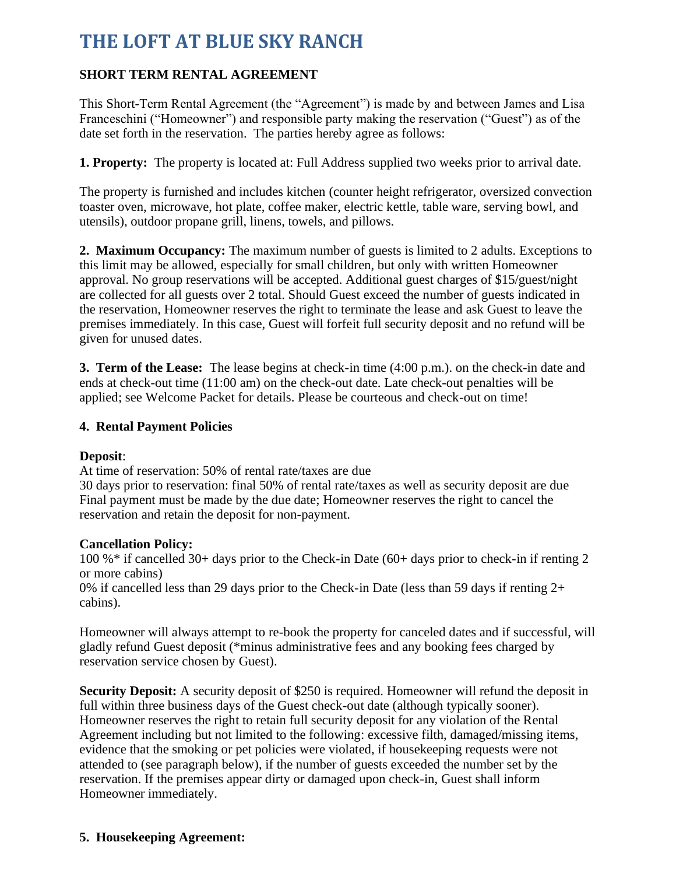# **THE LOFT AT BLUE SKY RANCH**

# **SHORT TERM RENTAL AGREEMENT**

This Short-Term Rental Agreement (the "Agreement") is made by and between James and Lisa Franceschini ("Homeowner") and responsible party making the reservation ("Guest") as of the date set forth in the reservation. The parties hereby agree as follows:

**1. Property:** The property is located at: Full Address supplied two weeks prior to arrival date.

The property is furnished and includes kitchen (counter height refrigerator, oversized convection toaster oven, microwave, hot plate, coffee maker, electric kettle, table ware, serving bowl, and utensils), outdoor propane grill, linens, towels, and pillows.

**2. Maximum Occupancy:** The maximum number of guests is limited to 2 adults. Exceptions to this limit may be allowed, especially for small children, but only with written Homeowner approval. No group reservations will be accepted. Additional guest charges of \$15/guest/night are collected for all guests over 2 total. Should Guest exceed the number of guests indicated in the reservation, Homeowner reserves the right to terminate the lease and ask Guest to leave the premises immediately. In this case, Guest will forfeit full security deposit and no refund will be given for unused dates.

**3. Term of the Lease:** The lease begins at check-in time (4:00 p.m.). on the check-in date and ends at check-out time (11:00 am) on the check-out date. Late check-out penalties will be applied; see Welcome Packet for details. Please be courteous and check-out on time!

### **4. Rental Payment Policies**

### **Deposit**:

At time of reservation: 50% of rental rate/taxes are due

30 days prior to reservation: final 50% of rental rate/taxes as well as security deposit are due Final payment must be made by the due date; Homeowner reserves the right to cancel the reservation and retain the deposit for non-payment.

### **Cancellation Policy:**

100 %\* if cancelled 30+ days prior to the Check-in Date (60+ days prior to check-in if renting 2 or more cabins)

0% if cancelled less than 29 days prior to the Check-in Date (less than 59 days if renting 2+ cabins).

Homeowner will always attempt to re-book the property for canceled dates and if successful, will gladly refund Guest deposit (\*minus administrative fees and any booking fees charged by reservation service chosen by Guest).

**Security Deposit:** A security deposit of \$250 is required. Homeowner will refund the deposit in full within three business days of the Guest check-out date (although typically sooner). Homeowner reserves the right to retain full security deposit for any violation of the Rental Agreement including but not limited to the following: excessive filth, damaged/missing items, evidence that the smoking or pet policies were violated, if housekeeping requests were not attended to (see paragraph below), if the number of guests exceeded the number set by the reservation. If the premises appear dirty or damaged upon check-in, Guest shall inform Homeowner immediately.

## **5. Housekeeping Agreement:**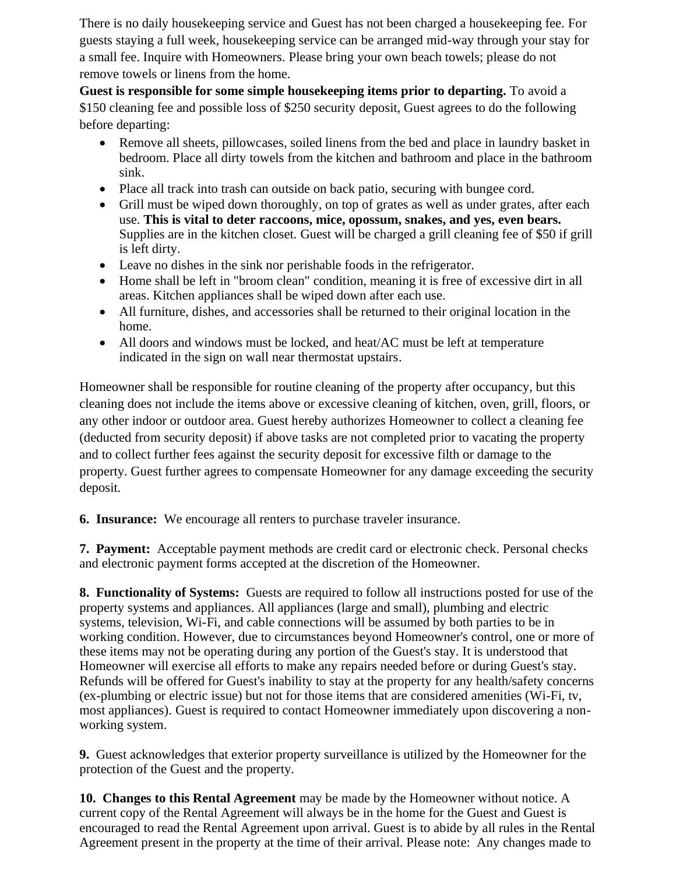There is no daily housekeeping service and Guest has not been charged a housekeeping fee. For guests staying a full week, housekeeping service can be arranged mid-way through your stay for a small fee. Inquire with Homeowners. Please bring your own beach towels; please do not remove towels or linens from the home.

**Guest is responsible for some simple housekeeping items prior to departing.** To avoid a \$150 cleaning fee and possible loss of \$250 security deposit, Guest agrees to do the following before departing:

- Remove all sheets, pillowcases, soiled linens from the bed and place in laundry basket in bedroom. Place all dirty towels from the kitchen and bathroom and place in the bathroom sink.
- Place all track into trash can outside on back patio, securing with bungee cord.
- Grill must be wiped down thoroughly, on top of grates as well as under grates, after each use. **This is vital to deter raccoons, mice, opossum, snakes, and yes, even bears.** Supplies are in the kitchen closet. Guest will be charged a grill cleaning fee of \$50 if grill is left dirty.
- Leave no dishes in the sink nor perishable foods in the refrigerator.
- Home shall be left in "broom clean" condition, meaning it is free of excessive dirt in all areas. Kitchen appliances shall be wiped down after each use.
- All furniture, dishes, and accessories shall be returned to their original location in the home.
- All doors and windows must be locked, and heat/AC must be left at temperature indicated in the sign on wall near thermostat upstairs.

Homeowner shall be responsible for routine cleaning of the property after occupancy, but this cleaning does not include the items above or excessive cleaning of kitchen, oven, grill, floors, or any other indoor or outdoor area. Guest hereby authorizes Homeowner to collect a cleaning fee (deducted from security deposit) if above tasks are not completed prior to vacating the property and to collect further fees against the security deposit for excessive filth or damage to the property. Guest further agrees to compensate Homeowner for any damage exceeding the security deposit.

**6. Insurance:** We encourage all renters to purchase traveler insurance.

**7. Payment:** Acceptable payment methods are credit card or electronic check. Personal checks and electronic payment forms accepted at the discretion of the Homeowner.

**8. Functionality of Systems:** Guests are required to follow all instructions posted for use of the property systems and appliances. All appliances (large and small), plumbing and electric systems, television, Wi-Fi, and cable connections will be assumed by both parties to be in working condition. However, due to circumstances beyond Homeowner's control, one or more of these items may not be operating during any portion of the Guest's stay. It is understood that Homeowner will exercise all efforts to make any repairs needed before or during Guest's stay. Refunds will be offered for Guest's inability to stay at the property for any health/safety concerns (ex-plumbing or electric issue) but not for those items that are considered amenities (Wi-Fi, tv, most appliances). Guest is required to contact Homeowner immediately upon discovering a nonworking system.

**9.** Guest acknowledges that exterior property surveillance is utilized by the Homeowner for the protection of the Guest and the property.

**10. Changes to this Rental Agreement** may be made by the Homeowner without notice. A current copy of the Rental Agreement will always be in the home for the Guest and Guest is encouraged to read the Rental Agreement upon arrival. Guest is to abide by all rules in the Rental Agreement present in the property at the time of their arrival. Please note: Any changes made to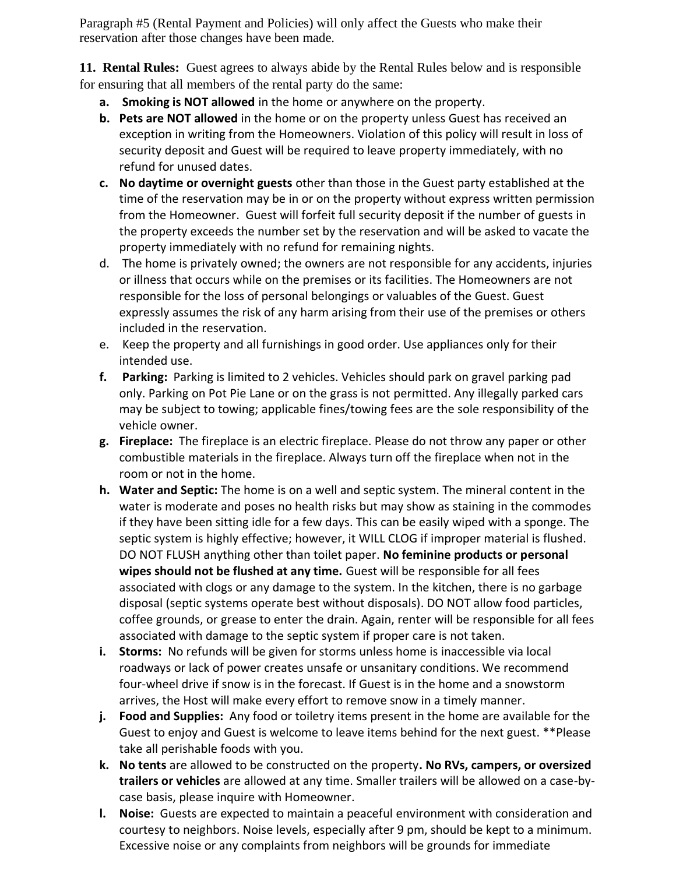Paragraph #5 (Rental Payment and Policies) will only affect the Guests who make their reservation after those changes have been made.

**11. Rental Rules:** Guest agrees to always abide by the Rental Rules below and is responsible for ensuring that all members of the rental party do the same:

- **a. Smoking is NOT allowed** in the home or anywhere on the property.
- **b. Pets are NOT allowed** in the home or on the property unless Guest has received an exception in writing from the Homeowners. Violation of this policy will result in loss of security deposit and Guest will be required to leave property immediately, with no refund for unused dates.
- **c. No daytime or overnight guests** other than those in the Guest party established at the time of the reservation may be in or on the property without express written permission from the Homeowner. Guest will forfeit full security deposit if the number of guests in the property exceeds the number set by the reservation and will be asked to vacate the property immediately with no refund for remaining nights.
- d. The home is privately owned; the owners are not responsible for any accidents, injuries or illness that occurs while on the premises or its facilities. The Homeowners are not responsible for the loss of personal belongings or valuables of the Guest. Guest expressly assumes the risk of any harm arising from their use of the premises or others included in the reservation.
- e. Keep the property and all furnishings in good order. Use appliances only for their intended use.
- **f. Parking:** Parking is limited to 2 vehicles. Vehicles should park on gravel parking pad only. Parking on Pot Pie Lane or on the grass is not permitted. Any illegally parked cars may be subject to towing; applicable fines/towing fees are the sole responsibility of the vehicle owner.
- **g. Fireplace:** The fireplace is an electric fireplace. Please do not throw any paper or other combustible materials in the fireplace. Always turn off the fireplace when not in the room or not in the home.
- **h. Water and Septic:** The home is on a well and septic system. The mineral content in the water is moderate and poses no health risks but may show as staining in the commodes if they have been sitting idle for a few days. This can be easily wiped with a sponge. The septic system is highly effective; however, it WILL CLOG if improper material is flushed. DO NOT FLUSH anything other than toilet paper. **No feminine products or personal wipes should not be flushed at any time.** Guest will be responsible for all fees associated with clogs or any damage to the system. In the kitchen, there is no garbage disposal (septic systems operate best without disposals). DO NOT allow food particles, coffee grounds, or grease to enter the drain. Again, renter will be responsible for all fees associated with damage to the septic system if proper care is not taken.
- **i. Storms:** No refunds will be given for storms unless home is inaccessible via local roadways or lack of power creates unsafe or unsanitary conditions. We recommend four-wheel drive if snow is in the forecast. If Guest is in the home and a snowstorm arrives, the Host will make every effort to remove snow in a timely manner.
- **j. Food and Supplies:** Any food or toiletry items present in the home are available for the Guest to enjoy and Guest is welcome to leave items behind for the next guest. \*\*Please take all perishable foods with you.
- **k. No tents** are allowed to be constructed on the property**. No RVs, campers, or oversized trailers or vehicles** are allowed at any time. Smaller trailers will be allowed on a case-bycase basis, please inquire with Homeowner.
- **l. Noise:** Guests are expected to maintain a peaceful environment with consideration and courtesy to neighbors. Noise levels, especially after 9 pm, should be kept to a minimum. Excessive noise or any complaints from neighbors will be grounds for immediate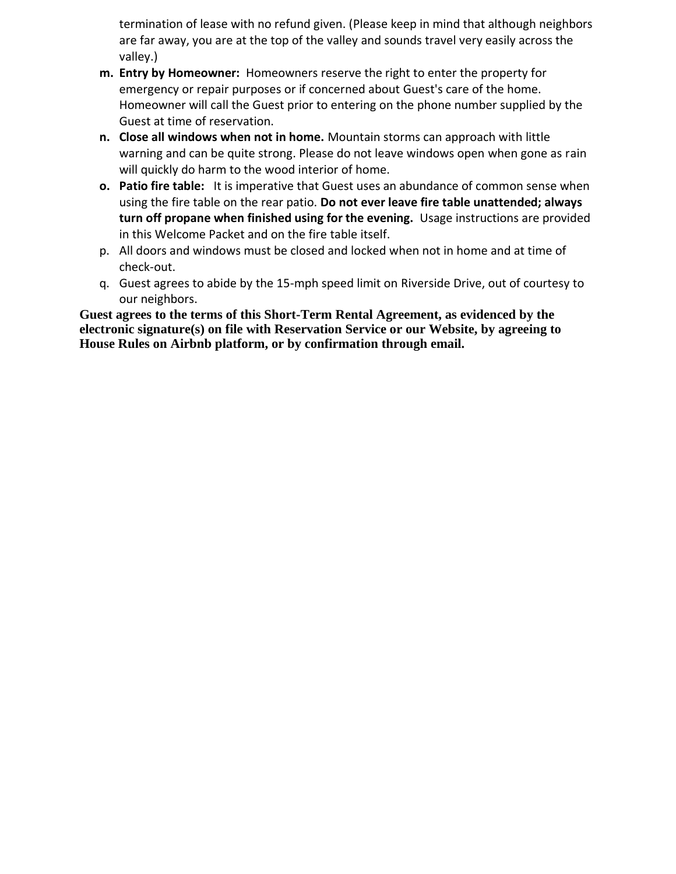termination of lease with no refund given. (Please keep in mind that although neighbors are far away, you are at the top of the valley and sounds travel very easily across the valley.)

- **m. Entry by Homeowner:** Homeowners reserve the right to enter the property for emergency or repair purposes or if concerned about Guest's care of the home. Homeowner will call the Guest prior to entering on the phone number supplied by the Guest at time of reservation.
- **n. Close all windows when not in home.** Mountain storms can approach with little warning and can be quite strong. Please do not leave windows open when gone as rain will quickly do harm to the wood interior of home.
- **o. Patio fire table:** It is imperative that Guest uses an abundance of common sense when using the fire table on the rear patio. **Do not ever leave fire table unattended; always turn off propane when finished using for the evening.** Usage instructions are provided in this Welcome Packet and on the fire table itself.
- p. All doors and windows must be closed and locked when not in home and at time of check-out.
- q. Guest agrees to abide by the 15-mph speed limit on Riverside Drive, out of courtesy to our neighbors.

**Guest agrees to the terms of this Short-Term Rental Agreement, as evidenced by the electronic signature(s) on file with Reservation Service or our Website, by agreeing to House Rules on Airbnb platform, or by confirmation through email.**